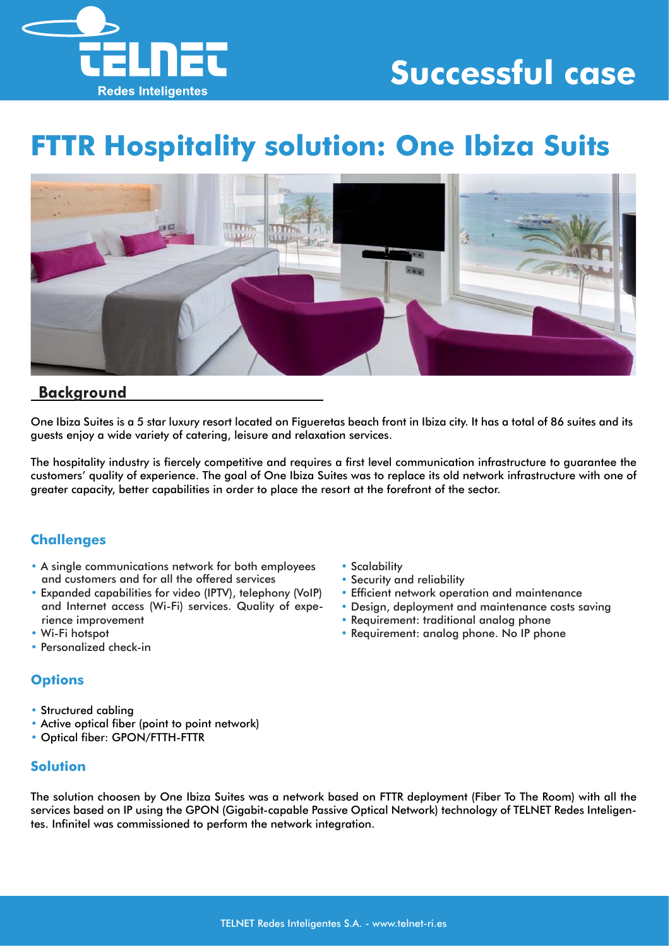

# **Successful case**

# **FTTR Hospitality solution: One Ibiza Suits**



## **Background**

One Ibiza Suites is a 5 star luxury resort located on Figueretas beach front in Ibiza city. It has a total of 86 suites and its guests enjoy a wide variety of catering, leisure and relaxation services.

The hospitality industry is fiercely competitive and requires a first level communication infrastructure to guarantee the customers' quality of experience. The goal of One Ibiza Suites was to replace its old network infrastructure with one of greater capacity, better capabilities in order to place the resort at the forefront of the sector.

## **Challenges**

- A single communications network for both employees and customers and for all the offered services
- Expanded capabilities for video (IPTV), telephony (VoIP) and Internet access (Wi-Fi) services. Quality of experience improvement
- Wi-Fi hotspot
- Personalized check-in

## **Options**

- Structured cabling
- Active optical fiber (point to point network)
- Optical fiber: GPON/FTTH-FTTR

#### **Solution**

• Scalability

- Security and reliability
- Efficient network operation and maintenance
- Design, deployment and maintenance costs saving
- Requirement: traditional analog phone
- Requirement: analog phone. No IP phone

The solution choosen by One Ibiza Suites was a network based on FTTR deployment (Fiber To The Room) with all the services based on IP using the GPON (Gigabit-capable Passive Optical Network) technology of TELNET Redes Inteligentes. Infinitel was commissioned to perform the network integration.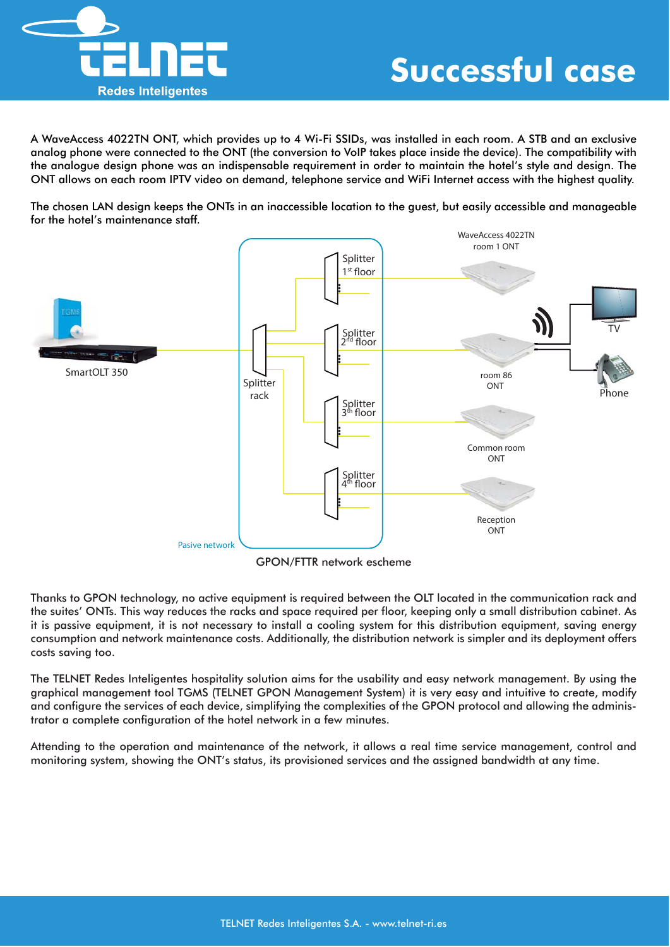

A WaveAccess 4022TN ONT, which provides up to 4 Wi-Fi SSIDs, was installed in each room. A STB and an exclusive analog phone were connected to the ONT (the conversion to VoIP takes place inside the device). The compatibility with the analogue design phone was an indispensable requirement in order to maintain the hotel's style and design. The ONT allows on each room IPTV video on demand, telephone service and WiFi Internet access with the highest quality.

The chosen LAN design keeps the ONTs in an inaccessible location to the guest, but easily accessible and manageable for the hotel's maintenance staff.



GPON/FTTR network escheme

Thanks to GPON technology, no active equipment is required between the OLT located in the communication rack and the suites' ONTs. This way reduces the racks and space required per floor, keeping only a small distribution cabinet. As it is passive equipment, it is not necessary to install a cooling system for this distribution equipment, saving energy consumption and network maintenance costs. Additionally, the distribution network is simpler and its deployment offers costs saving too.

The TELNET Redes Inteligentes hospitality solution aims for the usability and easy network management. By using the graphical management tool TGMS (TELNET GPON Management System) it is very easy and intuitive to create, modify and configure the services of each device, simplifying the complexities of the GPON protocol and allowing the administrator a complete configuration of the hotel network in a few minutes.

Attending to the operation and maintenance of the network, it allows a real time service management, control and monitoring system, showing the ONT's status, its provisioned services and the assigned bandwidth at any time.